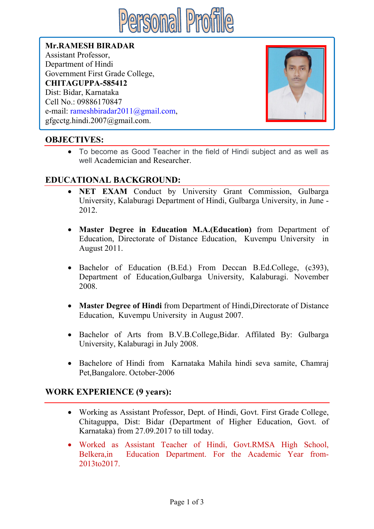

Mr.RAMESH BIRADAR Assistant Professor, Department of Hindi Government First Grade College, CHITAGUPPA-585412 Dist: Bidar, Karnataka Cell No.: 09886170847 e-mail: rameshbiradar2011@gmail.com, gfgcctg.hindi.2007@gmail.com.



# OBJECTIVES:

 To become as Good Teacher in the field of Hindi subject and as well as well Academician and Researcher.

# EDUCATIONAL BACKGROUND:

- NET EXAM Conduct by University Grant Commission, Gulbarga University, Kalaburagi Department of Hindi, Gulbarga University, in June - 2012.
- Master Degree in Education M.A.(Education) from Department of Education, Directorate of Distance Education, Kuvempu University in August 2011.
- Bachelor of Education (B.Ed.) From Deccan B.Ed.College, (c393), Department of Education,Gulbarga University, Kalaburagi. November 2008.
- Master Degree of Hindi from Department of Hindi,Directorate of Distance Education, Kuvempu University in August 2007.
- Bachelor of Arts from B.V.B.College,Bidar. Affilated By: Gulbarga University, Kalaburagi in July 2008.
- Bachelore of Hindi from Karnataka Mahila hindi seva samite, Chamraj Pet,Bangalore. October-2006

## WORK EXPERIENCE (9 years):

- Working as Assistant Professor, Dept. of Hindi, Govt. First Grade College, Chitaguppa, Dist: Bidar (Department of Higher Education, Govt. of Karnataka) from 27.09.2017 to till today.
- Worked as Assistant Teacher of Hindi, Govt.RMSA High School, Belkera,in Education Department. For the Academic Year from-2013to2017.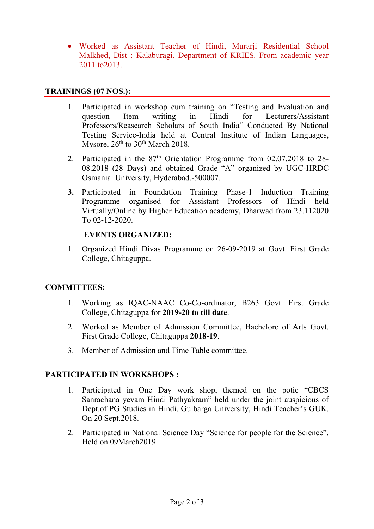• Worked as Assistant Teacher of Hindi, Murarii Residential School Malkhed, Dist : Kalaburagi. Department of KRIES. From academic year 2011 to2013.

#### TRAININGS (07 NOS.):

- 1. Participated in workshop cum training on "Testing and Evaluation and question Item writing in Hindi for Lecturers/Assistant Professors/Reasearch Scholars of South India" Conducted By National Testing Service-India held at Central Institute of Indian Languages, Mysore,  $26<sup>th</sup>$  to  $30<sup>th</sup>$  March 2018.
- 2. Participated in the 87<sup>th</sup> Orientation Programme from 02.07.2018 to 28-08.2018 (28 Days) and obtained Grade "A" organized by UGC-HRDC Osmania University, Hyderabad.-500007.
- 3. Participated in Foundation Training Phase-1 Induction Training Programme organised for Assistant Professors of Hindi held Virtually/Online by Higher Education academy, Dharwad from 23.112020 To 02-12-2020.

### EVENTS ORGANIZED:

1. Organized Hindi Divas Programme on 26-09-2019 at Govt. First Grade College, Chitaguppa.

#### COMMITTEES:

- 1. Working as IQAC-NAAC Co-Co-ordinator, B263 Govt. First Grade College, Chitaguppa for 2019-20 to till date.
- 2. Worked as Member of Admission Committee, Bachelore of Arts Govt. First Grade College, Chitaguppa 2018-19.
- 3. Member of Admission and Time Table committee.

## PARTICIPATED IN WORKSHOPS :

- 1. Participated in One Day work shop, themed on the potic "CBCS Sanrachana yevam Hindi Pathyakram" held under the joint auspicious of Dept.of PG Studies in Hindi. Gulbarga University, Hindi Teacher's GUK. On 20 Sept.2018.
- 2. Participated in National Science Day "Science for people for the Science". Held on 09March2019.